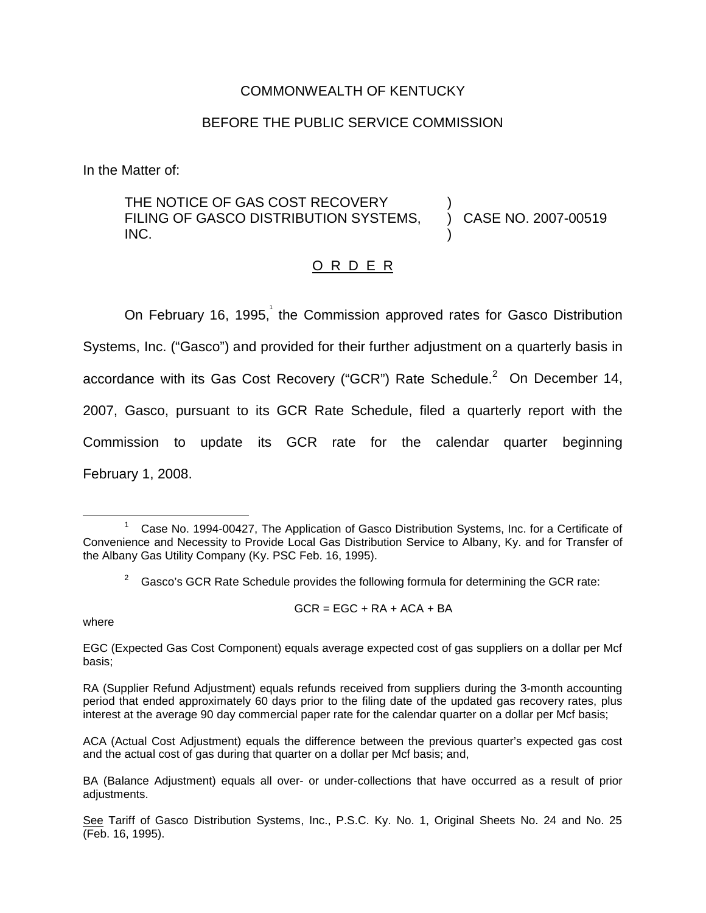#### COMMONWEALTH OF KENTUCKY

### BEFORE THE PUBLIC SERVICE COMMISSION

In the Matter of:

THE NOTICE OF GAS COST RECOVERY FILING OF GASCO DISTRIBUTION SYSTEMS, INC. ) ) CASE NO. 2007-00519 )

## O R D E R

On February 16, 1995, the Commission approved rates for Gasco Distribution Systems, Inc. ("Gasco") and provided for their further adjustment on a quarterly basis in accordance with its Gas Cost Recovery ("GCR") Rate Schedule. $^2$  On December 14, 2007, Gasco, pursuant to its GCR Rate Schedule, filed a quarterly report with the Commission to update its GCR rate for the calendar quarter beginning February 1, 2008.

 $GCR = EGC + RA + ACA + BA$ 

where

EGC (Expected Gas Cost Component) equals average expected cost of gas suppliers on a dollar per Mcf basis;

RA (Supplier Refund Adjustment) equals refunds received from suppliers during the 3-month accounting period that ended approximately 60 days prior to the filing date of the updated gas recovery rates, plus interest at the average 90 day commercial paper rate for the calendar quarter on a dollar per Mcf basis;

ACA (Actual Cost Adjustment) equals the difference between the previous quarter's expected gas cost and the actual cost of gas during that quarter on a dollar per Mcf basis; and,

 $1$  Case No. 1994-00427, The Application of Gasco Distribution Systems, Inc. for a Certificate of Convenience and Necessity to Provide Local Gas Distribution Service to Albany, Ky. and for Transfer of the Albany Gas Utility Company (Ky. PSC Feb. 16, 1995).

<sup>2</sup> Gasco's GCR Rate Schedule provides the following formula for determining the GCR rate:

BA (Balance Adjustment) equals all over- or under-collections that have occurred as a result of prior adiustments.

See Tariff of Gasco Distribution Systems, Inc., P.S.C. Ky. No. 1, Original Sheets No. 24 and No. 25 (Feb. 16, 1995).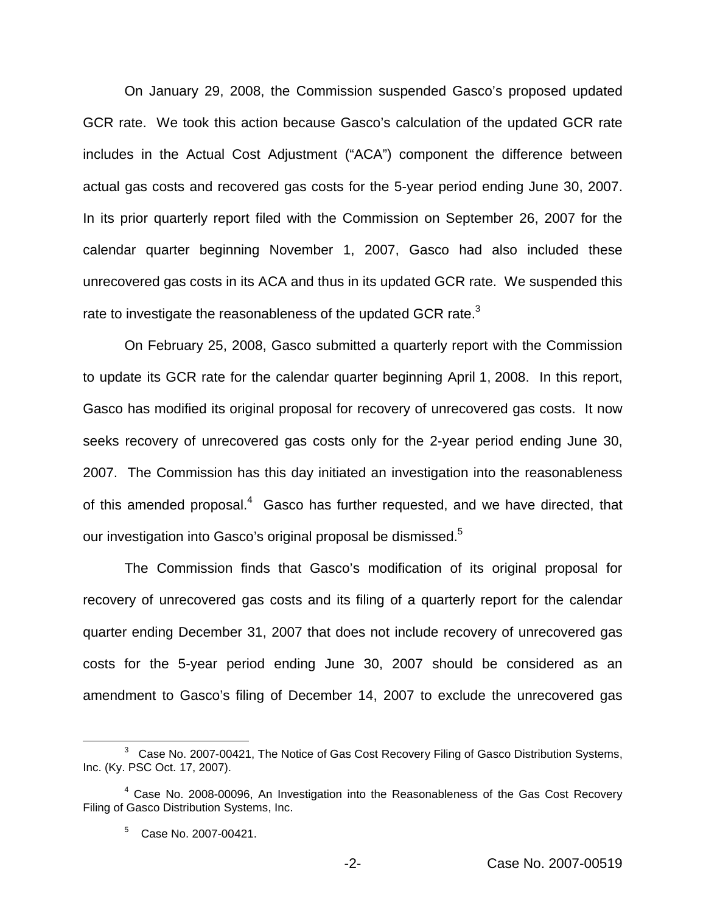On January 29, 2008, the Commission suspended Gasco's proposed updated GCR rate. We took this action because Gasco's calculation of the updated GCR rate includes in the Actual Cost Adjustment ("ACA") component the difference between actual gas costs and recovered gas costs for the 5-year period ending June 30, 2007. In its prior quarterly report filed with the Commission on September 26, 2007 for the calendar quarter beginning November 1, 2007, Gasco had also included these unrecovered gas costs in its ACA and thus in its updated GCR rate. We suspended this rate to investigate the reasonableness of the updated GCR rate.<sup>3</sup>

On February 25, 2008, Gasco submitted a quarterly report with the Commission to update its GCR rate for the calendar quarter beginning April 1, 2008. In this report, Gasco has modified its original proposal for recovery of unrecovered gas costs. It now seeks recovery of unrecovered gas costs only for the 2-year period ending June 30, 2007. The Commission has this day initiated an investigation into the reasonableness of this amended proposal.<sup>4</sup> Gasco has further requested, and we have directed, that our investigation into Gasco's original proposal be dismissed.<sup>5</sup>

The Commission finds that Gasco's modification of its original proposal for recovery of unrecovered gas costs and its filing of a quarterly report for the calendar quarter ending December 31, 2007 that does not include recovery of unrecovered gas costs for the 5-year period ending June 30, 2007 should be considered as an amendment to Gasco's filing of December 14, 2007 to exclude the unrecovered gas

<sup>&</sup>lt;sup>3</sup> Case No. 2007-00421, The Notice of Gas Cost Recovery Filing of Gasco Distribution Systems, Inc. (Ky. PSC Oct. 17, 2007).

<sup>&</sup>lt;sup>4</sup> Case No. 2008-00096, An Investigation into the Reasonableness of the Gas Cost Recovery Filing of Gasco Distribution Systems, Inc.

<sup>5</sup> Case No. 2007-00421.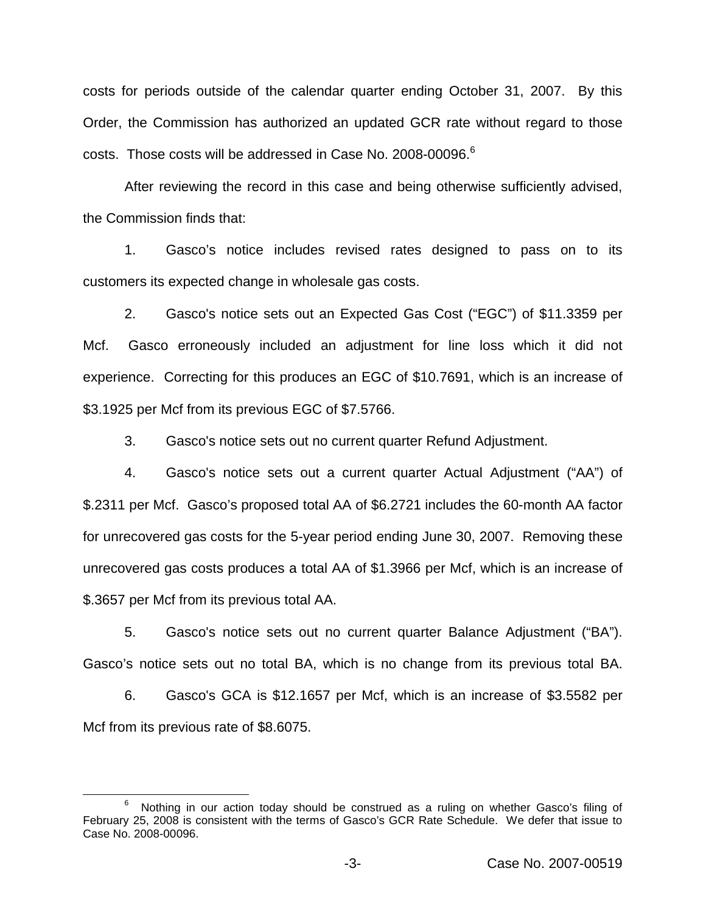costs for periods outside of the calendar quarter ending October 31, 2007. By this Order, the Commission has authorized an updated GCR rate without regard to those costs. Those costs will be addressed in Case No. 2008-00096.<sup>6</sup>

After reviewing the record in this case and being otherwise sufficiently advised, the Commission finds that:

1. Gasco's notice includes revised rates designed to pass on to its customers its expected change in wholesale gas costs.

2. Gasco's notice sets out an Expected Gas Cost ("EGC") of \$11.3359 per Mcf. Gasco erroneously included an adjustment for line loss which it did not experience. Correcting for this produces an EGC of \$10.7691, which is an increase of \$3.1925 per Mcf from its previous EGC of \$7.5766.

3. Gasco's notice sets out no current quarter Refund Adjustment.

4. Gasco's notice sets out a current quarter Actual Adjustment ("AA") of \$.2311 per Mcf. Gasco's proposed total AA of \$6.2721 includes the 60-month AA factor for unrecovered gas costs for the 5-year period ending June 30, 2007. Removing these unrecovered gas costs produces a total AA of \$1.3966 per Mcf, which is an increase of \$.3657 per Mcf from its previous total AA.

5. Gasco's notice sets out no current quarter Balance Adjustment ("BA"). Gasco's notice sets out no total BA, which is no change from its previous total BA.

6. Gasco's GCA is \$12.1657 per Mcf, which is an increase of \$3.5582 per Mcf from its previous rate of \$8.6075.

<sup>6</sup> Nothing in our action today should be construed as a ruling on whether Gasco's filing of February 25, 2008 is consistent with the terms of Gasco's GCR Rate Schedule. We defer that issue to Case No. 2008-00096.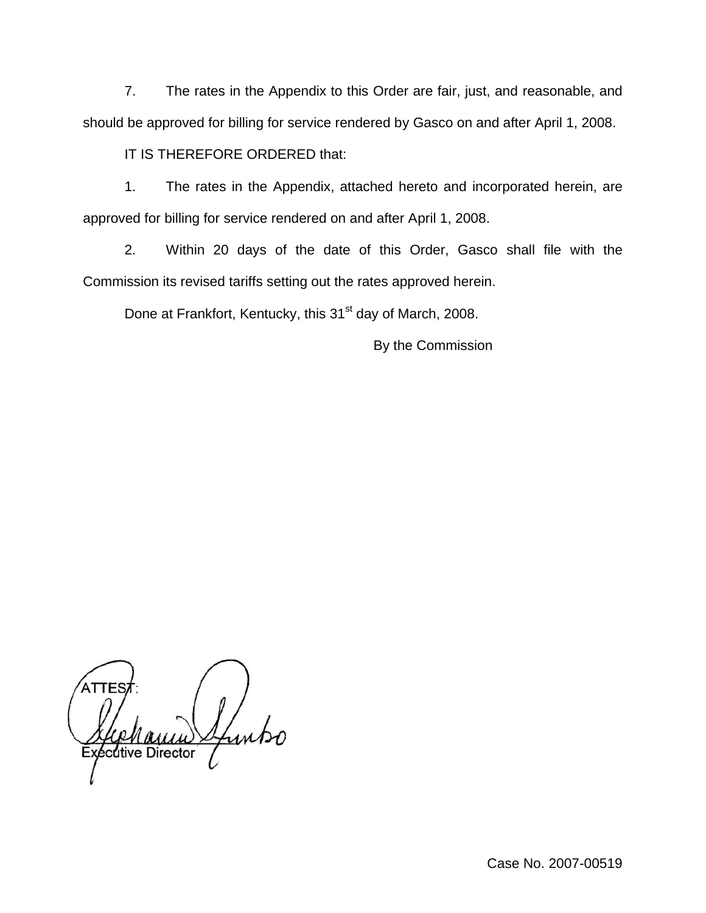7. The rates in the Appendix to this Order are fair, just, and reasonable, and should be approved for billing for service rendered by Gasco on and after April 1, 2008.

IT IS THEREFORE ORDERED that:

1. The rates in the Appendix, attached hereto and incorporated herein, are approved for billing for service rendered on and after April 1, 2008.

2. Within 20 days of the date of this Order, Gasco shall file with the Commission its revised tariffs setting out the rates approved herein.

Done at Frankfort, Kentucky, this 31<sup>st</sup> day of March, 2008.

By the Commission

ATTES xécutive Director